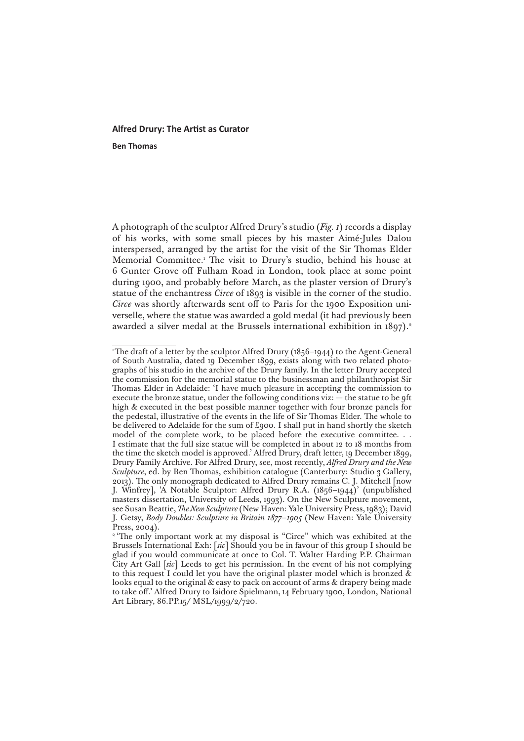## **Alfred Drury: The Artist as Curator**

**Ben Thomas** 

A photograph of the sculptor Alfred Drury's studio (*Fig. 1*) records a display of his works, with some small pieces by his master Aimé-Jules Dalou interspersed, arranged by the artist for the visit of the Sir Thomas Elder Memorial Committee.<sup>1</sup> The visit to Drury's studio, behind his house at 6 Gunter Grove off Fulham Road in London, took place at some point during 1900, and probably before March, as the plaster version of Drury's statue of the enchantress *Circe* of 1893 is visible in the corner of the studio. *Circe* was shortly afterwards sent off to Paris for the 1900 Exposition universelle, where the statue was awarded a gold medal (it had previously been awarded a silver medal at the Brussels international exhibition in 1897).<sup>2</sup>

<sup>&</sup>lt;sup>1</sup>The draft of a letter by the sculptor Alfred Drury ( $1856-1944$ ) to the Agent-General of South Australia, dated 19 December 1899, exists along with two related photographs of his studio in the archive of the Drury family. In the letter Drury accepted the commission for the memorial statue to the businessman and philanthropist Sir Thomas Elder in Adelaide: 'I have much pleasure in accepting the commission to execute the bronze statue, under the following conditions viz: — the statue to be 9ft high & executed in the best possible manner together with four bronze panels for the pedestal, illustrative of the events in the life of Sir Thomas Elder. The whole to be delivered to Adelaide for the sum of £900. I shall put in hand shortly the sketch model of the complete work, to be placed before the executive committee. . . I estimate that the full size statue will be completed in about 12 to 18 months from the time the sketch model is approved.' Alfred Drury, draft letter, 19 December 1899, Drury Family Archive. For Alfred Drury, see, most recently, *Alfred Drury and the New Sculpture*, ed. by Ben Thomas, exhibition catalogue (Canterbury: Studio 3 Gallery, 2013). The only monograph dedicated to Alfred Drury remains C. J. Mitchell [now J. Winfrey], 'A Notable Sculptor: Alfred Drury R.A. (1856–1944)' (unpublished masters dissertation, University of Leeds, 1993). On the New Sculpture movement, see Susan Beattie, *The New Sculpture* (New Haven: Yale University Press, 1983); David J. Getsy, *Body Doubles: Sculpture in Britain 1877–1905* (New Haven: Yale University Press, 2004).

<sup>&</sup>lt;sup>2</sup> 'The only important work at my disposal is "Circe" which was exhibited at the Brussels International Exh: [*sic*] Should you be in favour of this group I should be glad if you would communicate at once to Col. T. Walter Harding P.P. Chairman City Art Gall [*sic*] Leeds to get his permission. In the event of his not complying to this request I could let you have the original plaster model which is bronzed  $\&$ looks equal to the original & easy to pack on account of arms & drapery being made to take off.' Alfred Drury to Isidore Spielmann, 14 February 1900, London, National Art Library, 86.PP.15/ MSL/1999/2/720.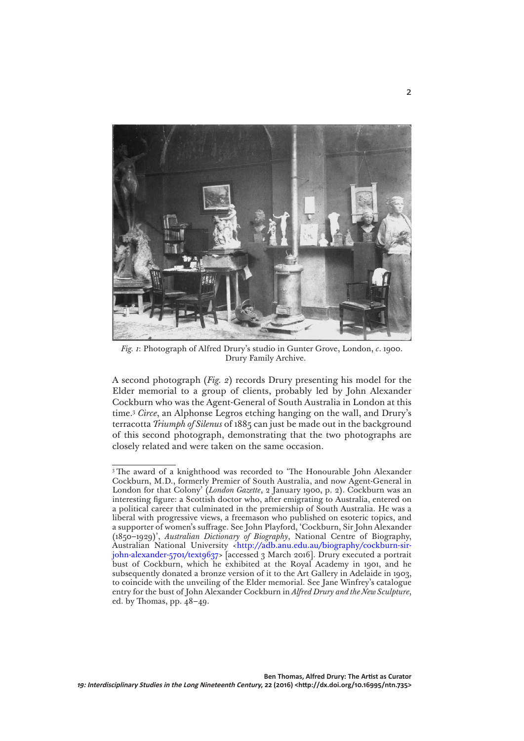

*Fig. 1*: Photograph of Alfred Drury's studio in Gunter Grove, London, *c*. 1900. Drury Family Archive.

A second photograph (*Fig. 2*) records Drury presenting his model for the Elder memorial to a group of clients, probably led by John Alexander Cockburn who was the Agent-General of South Australia in London at this time.3 *Circe*, an Alphonse Legros etching hanging on the wall, and Drury's terracotta *Triumph of Silenus* of 1885 can just be made out in the background of this second photograph, demonstrating that the two photographs are closely related and were taken on the same occasion.

<sup>3</sup> The award of a knighthood was recorded to 'The Honourable John Alexander Cockburn, M.D., formerly Premier of South Australia, and now Agent-General in London for that Colony' (*London Gazette*, 2 January 1900, p. 2). Cockburn was an interesting figure: a Scottish doctor who, after emigrating to Australia, entered on a political career that culminated in the premiership of South Australia. He was a liberal with progressive views, a freemason who published on esoteric topics, and a supporter of women's suffrage. See John Playford, 'Cockburn, Sir John Alexander (1850–1929)', *Australian Dictionary of Biography*, National Centre of Biography, Australian National University [<http://adb.anu.edu.au/biography/cockburn-sir](http://adb.anu.edu.au/biography/cockburn-sir-john-alexander-5701/text9637)[john-alexander-5701/text9637](http://adb.anu.edu.au/biography/cockburn-sir-john-alexander-5701/text9637)> [accessed 3 March 2016]. Drury executed a portrait bust of Cockburn, which he exhibited at the Royal Academy in 1901, and he subsequently donated a bronze version of it to the Art Gallery in Adelaide in 1903, to coincide with the unveiling of the Elder memorial. See Jane Winfrey's catalogue entry for the bust of John Alexander Cockburn in *Alfred Drury and the New Sculpture*, ed. by Thomas, pp. 48–49.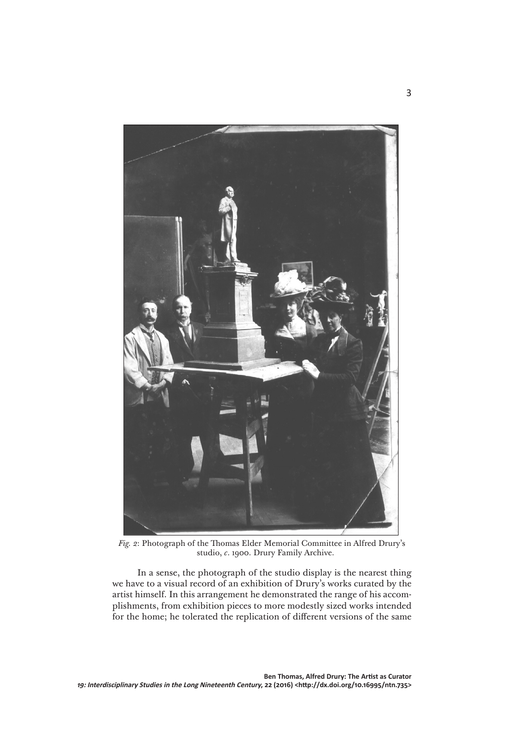

*Fig. 2*: Photograph of the Thomas Elder Memorial Committee in Alfred Drury's studio, *c*. 1900. Drury Family Archive.

In a sense, the photograph of the studio display is the nearest thing we have to a visual record of an exhibition of Drury's works curated by the artist himself. In this arrangement he demonstrated the range of his accomplishments, from exhibition pieces to more modestly sized works intended for the home; he tolerated the replication of different versions of the same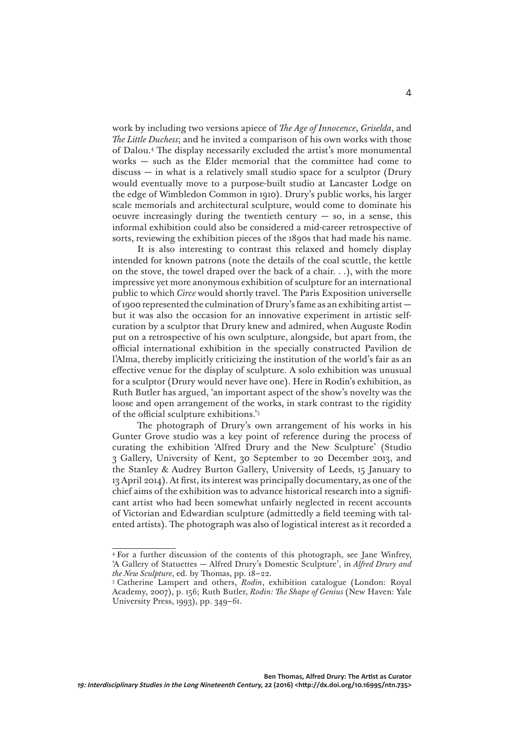work by including two versions apiece of *The Age of Innocence*, *Griselda*, and *The Little Duchess*; and he invited a comparison of his own works with those of Dalou.4 The display necessarily excluded the artist's more monumental works — such as the Elder memorial that the committee had come to  $discuss - in what is a relatively small studio space for a sculptor (Drury)$ would eventually move to a purpose-built studio at Lancaster Lodge on the edge of Wimbledon Common in 1910). Drury's public works, his larger scale memorials and architectural sculpture, would come to dominate his oeuvre increasingly during the twentieth century  $-$  so, in a sense, this informal exhibition could also be considered a mid-career retrospective of sorts, reviewing the exhibition pieces of the 1890s that had made his name.

It is also interesting to contrast this relaxed and homely display intended for known patrons (note the details of the coal scuttle, the kettle on the stove, the towel draped over the back of a chair. . .), with the more impressive yet more anonymous exhibition of sculpture for an international public to which *Circe* would shortly travel. The Paris Exposition universelle of 1900 represented the culmination of Drury's fame as an exhibiting artist but it was also the occasion for an innovative experiment in artistic selfcuration by a sculptor that Drury knew and admired, when Auguste Rodin put on a retrospective of his own sculpture, alongside, but apart from, the official international exhibition in the specially constructed Pavilion de l'Alma, thereby implicitly criticizing the institution of the world's fair as an effective venue for the display of sculpture. A solo exhibition was unusual for a sculptor (Drury would never have one). Here in Rodin's exhibition, as Ruth Butler has argued, 'an important aspect of the show's novelty was the loose and open arrangement of the works, in stark contrast to the rigidity of the official sculpture exhibitions.'5

The photograph of Drury's own arrangement of his works in his Gunter Grove studio was a key point of reference during the process of curating the exhibition 'Alfred Drury and the New Sculpture' (Studio 3 Gallery, University of Kent, 30 September to 20 December 2013, and the Stanley & Audrey Burton Gallery, University of Leeds, 15 January to 13 April 2014). At first, its interest was principally documentary, as one of the chief aims of the exhibition was to advance historical research into a significant artist who had been somewhat unfairly neglected in recent accounts of Victorian and Edwardian sculpture (admittedly a field teeming with talented artists). The photograph was also of logistical interest as it recorded a

<sup>4</sup> For a further discussion of the contents of this photograph, see Jane Winfrey, 'A Gallery of Statuettes — Alfred Drury's Domestic Sculpture', in *Alfred Drury and the New Sculpture*, ed. by Thomas, pp. 18–22.

<sup>5</sup> Catherine Lampert and others, *Rodin*, exhibition catalogue (London: Royal Academy, 2007), p. 156; Ruth Butler, *Rodin: The Shape of Genius* (New Haven: Yale University Press, 1993), pp. 349–61.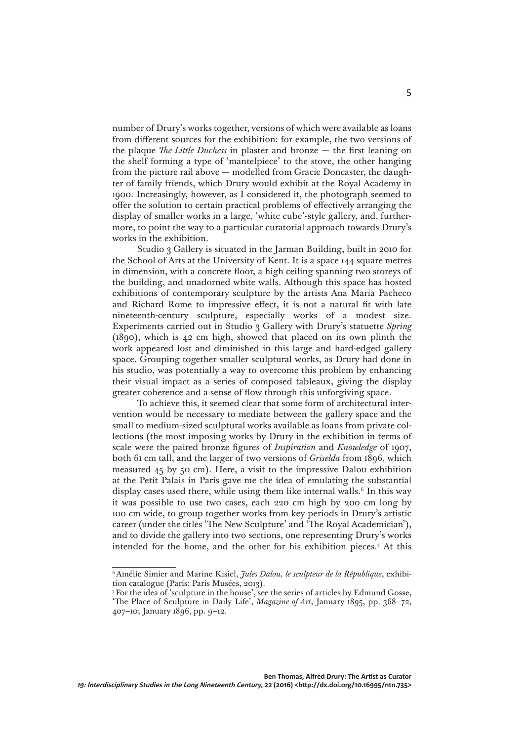number of Drury's works together, versions of which were available as loans from different sources for the exhibition: for example, the two versions of the plaque *The Little Duchess* in plaster and bronze — the first leaning on the shelf forming a type of 'mantelpiece' to the stove, the other hanging from the picture rail above — modelled from Gracie Doncaster, the daughter of family friends, which Drury would exhibit at the Royal Academy in 1900. Increasingly, however, as I considered it, the photograph seemed to offer the solution to certain practical problems of effectively arranging the display of smaller works in a large, 'white cube'-style gallery, and, furthermore, to point the way to a particular curatorial approach towards Drury's works in the exhibition.

Studio 3 Gallery is situated in the Jarman Building, built in 2010 for the School of Arts at the University of Kent. It is a space 144 square metres in dimension, with a concrete floor, a high ceiling spanning two storeys of the building, and unadorned white walls. Although this space has hosted exhibitions of contemporary sculpture by the artists Ana Maria Pacheco and Richard Rome to impressive effect, it is not a natural fit with late nineteenth-century sculpture, especially works of a modest size. Experiments carried out in Studio 3 Gallery with Drury's statuette *Spring* (1890), which is 42 cm high, showed that placed on its own plinth the work appeared lost and diminished in this large and hard-edged gallery space. Grouping together smaller sculptural works, as Drury had done in his studio, was potentially a way to overcome this problem by enhancing their visual impact as a series of composed tableaux, giving the display greater coherence and a sense of flow through this unforgiving space.

To achieve this, it seemed clear that some form of architectural intervention would be necessary to mediate between the gallery space and the small to medium-sized sculptural works available as loans from private collections (the most imposing works by Drury in the exhibition in terms of scale were the paired bronze figures of *Inspiration* and *Knowledge* of 1907, both 61 cm tall, and the larger of two versions of *Griselda* from 1896, which measured 45 by 50 cm). Here, a visit to the impressive Dalou exhibition at the Petit Palais in Paris gave me the idea of emulating the substantial display cases used there, while using them like internal walls.6 In this way it was possible to use two cases, each 220 cm high by 200 cm long by 100 cm wide, to group together works from key periods in Drury's artistic career (under the titles 'The New Sculpture' and 'The Royal Academician'), and to divide the gallery into two sections, one representing Drury's works intended for the home, and the other for his exhibition pieces.7 At this

<sup>6</sup> Amélie Simier and Marine Kisiel, *Jules Dalou, le sculpteur de la République*, exhibition catalogue (Paris: Paris Musées, 2013).

<sup>7</sup> For the idea of 'sculpture in the house', see the series of articles by Edmund Gosse, 'The Place of Sculpture in Daily Life', *Magazine of Art*, January 1895, pp. 368–72, 407–10; January 1896, pp. 9–12.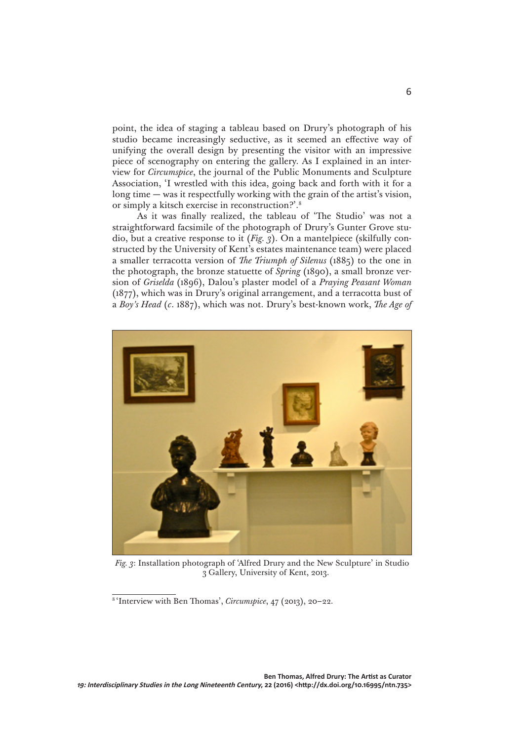point, the idea of staging a tableau based on Drury's photograph of his studio became increasingly seductive, as it seemed an effective way of unifying the overall design by presenting the visitor with an impressive piece of scenography on entering the gallery. As I explained in an interview for *Circumspice*, the journal of the Public Monuments and Sculpture Association, 'I wrestled with this idea, going back and forth with it for a long time — was it respectfully working with the grain of the artist's vision, or simply a kitsch exercise in reconstruction?'.8

As it was finally realized, the tableau of 'The Studio' was not a straightforward facsimile of the photograph of Drury's Gunter Grove studio, but a creative response to it (*Fig. 3*). On a mantelpiece (skilfully constructed by the University of Kent's estates maintenance team) were placed a smaller terracotta version of *The Triumph of Silenus* (1885) to the one in the photograph, the bronze statuette of *Spring* (1890), a small bronze version of *Griselda* (1896), Dalou's plaster model of a *Praying Peasant Woman* (1877), which was in Drury's original arrangement, and a terracotta bust of a *Boy's Head* (*c*. 1887), which was not. Drury's best-known work, *The Age of* 



*Fig. 3*: Installation photograph of 'Alfred Drury and the New Sculpture' in Studio 3 Gallery, University of Kent, 2013.

<sup>8 &#</sup>x27;Interview with Ben Thomas', *Circumspice*, 47 (2013), 20–22.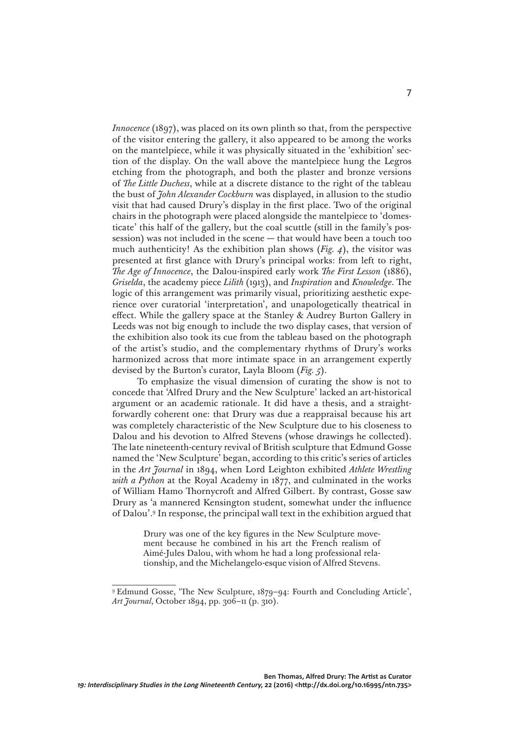*Innocence* (1897), was placed on its own plinth so that, from the perspective of the visitor entering the gallery, it also appeared to be among the works on the mantelpiece, while it was physically situated in the 'exhibition' section of the display. On the wall above the mantelpiece hung the Legros etching from the photograph, and both the plaster and bronze versions of *The Little Duchess*, while at a discrete distance to the right of the tableau the bust of *John Alexander Cockburn* was displayed, in allusion to the studio visit that had caused Drury's display in the first place. Two of the original chairs in the photograph were placed alongside the mantelpiece to 'domesticate' this half of the gallery, but the coal scuttle (still in the family's possession) was not included in the scene — that would have been a touch too much authenticity! As the exhibition plan shows (*Fig. 4*), the visitor was presented at first glance with Drury's principal works: from left to right, *The Age of Innocence*, the Dalou-inspired early work *The First Lesson* (1886), *Griselda*, the academy piece *Lilith* (1913), and *Inspiration* and *Knowledge*. The logic of this arrangement was primarily visual, prioritizing aesthetic experience over curatorial 'interpretation', and unapologetically theatrical in effect. While the gallery space at the Stanley & Audrey Burton Gallery in Leeds was not big enough to include the two display cases, that version of the exhibition also took its cue from the tableau based on the photograph of the artist's studio, and the complementary rhythms of Drury's works harmonized across that more intimate space in an arrangement expertly devised by the Burton's curator, Layla Bloom (*Fig. 5*).

To emphasize the visual dimension of curating the show is not to concede that 'Alfred Drury and the New Sculpture' lacked an art-historical argument or an academic rationale. It did have a thesis, and a straightforwardly coherent one: that Drury was due a reappraisal because his art was completely characteristic of the New Sculpture due to his closeness to Dalou and his devotion to Alfred Stevens (whose drawings he collected). The late nineteenth-century revival of British sculpture that Edmund Gosse named the 'New Sculpture' began, according to this critic's series of articles in the *Art Journal* in 1894, when Lord Leighton exhibited *Athlete Wrestling with a Python* at the Royal Academy in 1877, and culminated in the works of William Hamo Thornycroft and Alfred Gilbert. By contrast, Gosse saw Drury as 'a mannered Kensington student, somewhat under the influence of Dalou'.9 In response, the principal wall text in the exhibition argued that

> Drury was one of the key figures in the New Sculpture movement because he combined in his art the French realism of Aimé-Jules Dalou, with whom he had a long professional relationship, and the Michelangelo-esque vision of Alfred Stevens.

<sup>9</sup> Edmund Gosse, 'The New Sculpture, 1879–94: Fourth and Concluding Article', *Art Journal*, October 1894, pp. 306–11 (p. 310).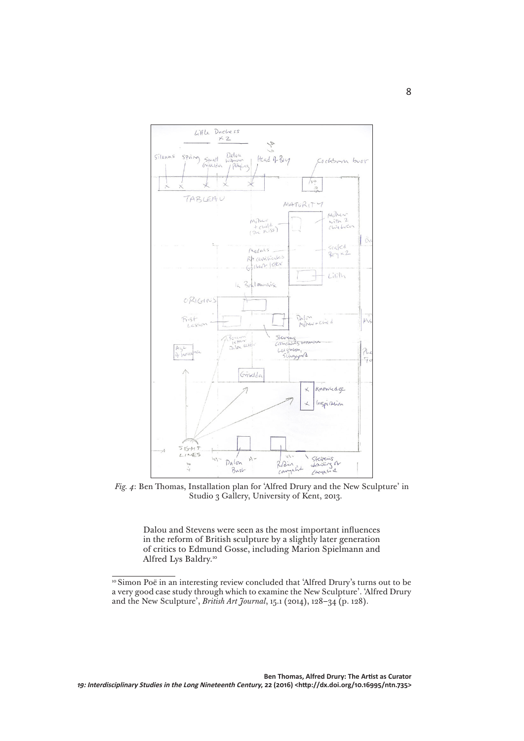

*Fig. 4*: Ben Thomas, Installation plan for 'Alfred Drury and the New Sculpture' in Studio 3 Gallery, University of Kent, 2013.

Dalou and Stevens were seen as the most important influences in the reform of British sculpture by a slightly later generation of critics to Edmund Gosse, including Marion Spielmann and Alfred Lys Baldry.<sup>10</sup>

<sup>&</sup>lt;sup>10</sup> Simon Poë in an interesting review concluded that 'Alfred Drury's turns out to be a very good case study through which to examine the New Sculpture'. 'Alfred Drury and the New Sculpture', *British Art Journal*, 15.1 (2014), 128–34 (p. 128).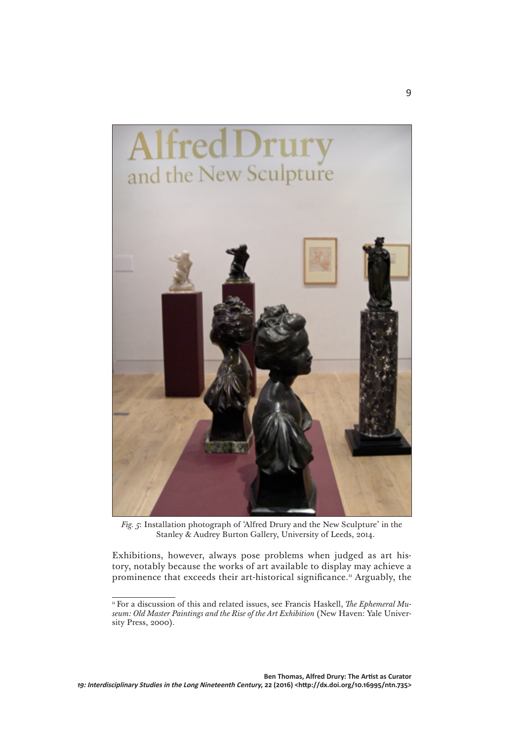

*Fig. 5*: Installation photograph of 'Alfred Drury and the New Sculpture' in the Stanley & Audrey Burton Gallery, University of Leeds, 2014.

Exhibitions, however, always pose problems when judged as art history, notably because the works of art available to display may achieve a prominence that exceeds their art-historical significance.<sup>11</sup> Arguably, the

<sup>&</sup>lt;sup>11</sup> For a discussion of this and related issues, see Francis Haskell, *The Ephemeral Museum: Old Master Paintings and the Rise of the Art Exhibition* (New Haven: Yale University Press, 2000).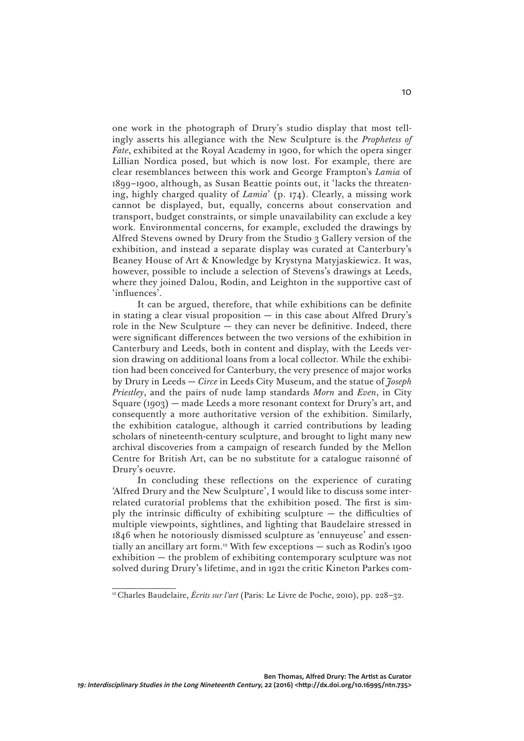one work in the photograph of Drury's studio display that most tellingly asserts his allegiance with the New Sculpture is the *Prophetess of Fate*, exhibited at the Royal Academy in 1900, for which the opera singer Lillian Nordica posed, but which is now lost. For example, there are clear resemblances between this work and George Frampton's *Lamia* of 1899–1900, although, as Susan Beattie points out, it 'lacks the threatening, highly charged quality of *Lamia*' (p. 174). Clearly, a missing work cannot be displayed, but, equally, concerns about conservation and transport, budget constraints, or simple unavailability can exclude a key work. Environmental concerns, for example, excluded the drawings by Alfred Stevens owned by Drury from the Studio 3 Gallery version of the exhibition, and instead a separate display was curated at Canterbury's Beaney House of Art & Knowledge by Krystyna Matyjaskiewicz. It was, however, possible to include a selection of Stevens's drawings at Leeds, where they joined Dalou, Rodin, and Leighton in the supportive cast of 'influences'.

It can be argued, therefore, that while exhibitions can be definite in stating a clear visual proposition  $-$  in this case about Alfred Drury's role in the New Sculpture — they can never be definitive. Indeed, there were significant differences between the two versions of the exhibition in Canterbury and Leeds, both in content and display, with the Leeds version drawing on additional loans from a local collector. While the exhibition had been conceived for Canterbury, the very presence of major works by Drury in Leeds — *Circe* in Leeds City Museum, and the statue of *Joseph Priestley*, and the pairs of nude lamp standards *Morn* and *Even*, in City Square (1903) — made Leeds a more resonant context for Drury's art, and consequently a more authoritative version of the exhibition. Similarly, the exhibition catalogue, although it carried contributions by leading scholars of nineteenth-century sculpture, and brought to light many new archival discoveries from a campaign of research funded by the Mellon Centre for British Art, can be no substitute for a catalogue raisonné of Drury's oeuvre.

In concluding these reflections on the experience of curating 'Alfred Drury and the New Sculpture', I would like to discuss some interrelated curatorial problems that the exhibition posed. The first is simply the intrinsic difficulty of exhibiting sculpture — the difficulties of multiple viewpoints, sightlines, and lighting that Baudelaire stressed in 1846 when he notoriously dismissed sculpture as 'ennuyeuse' and essentially an ancillary art form.12 With few exceptions — such as Rodin's 1900 exhibition — the problem of exhibiting contemporary sculpture was not solved during Drury's lifetime, and in 1921 the critic Kineton Parkes com-

<sup>12</sup> Charles Baudelaire, *Écrits sur l'art* (Paris: Le Livre de Poche, 2010), pp. 228–32.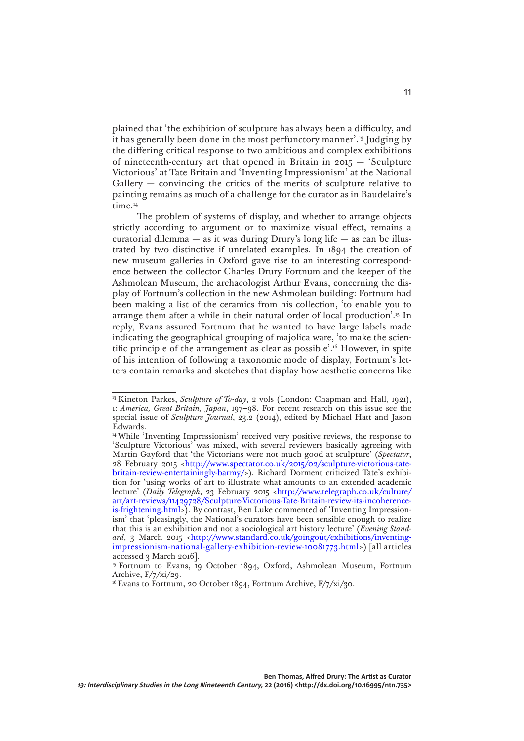plained that 'the exhibition of sculpture has always been a difficulty, and it has generally been done in the most perfunctory manner'.13 Judging by the differing critical response to two ambitious and complex exhibitions of nineteenth-century art that opened in Britain in 2015 — 'Sculpture Victorious' at Tate Britain and 'Inventing Impressionism' at the National Gallery — convincing the critics of the merits of sculpture relative to painting remains as much of a challenge for the curator as in Baudelaire's time.<sup>14</sup>

The problem of systems of display, and whether to arrange objects strictly according to argument or to maximize visual effect, remains a curatorial dilemma — as it was during Drury's long life — as can be illustrated by two distinctive if unrelated examples. In 1894 the creation of new museum galleries in Oxford gave rise to an interesting correspondence between the collector Charles Drury Fortnum and the keeper of the Ashmolean Museum, the archaeologist Arthur Evans, concerning the display of Fortnum's collection in the new Ashmolean building: Fortnum had been making a list of the ceramics from his collection, 'to enable you to arrange them after a while in their natural order of local production'.<sup>15</sup> In reply, Evans assured Fortnum that he wanted to have large labels made indicating the geographical grouping of majolica ware, 'to make the scientific principle of the arrangement as clear as possible'.16 However, in spite of his intention of following a taxonomic mode of display, Fortnum's letters contain remarks and sketches that display how aesthetic concerns like

<sup>&</sup>lt;sup>13</sup> Kineton Parkes, *Sculpture of To-day*, 2 vols (London: Chapman and Hall, 1921), i: *America, Great Britain, Japan*, 197–98. For recent research on this issue see the special issue of *Sculpture Journal*, 23.2 (2014), edited by Michael Hatt and Jason Edwards.

<sup>&</sup>lt;sup>14</sup> While 'Inventing Impressionism' received very positive reviews, the response to 'Sculpture Victorious' was mixed, with several reviewers basically agreeing with Martin Gayford that 'the Victorians were not much good at sculpture' (*Spectator*, 28 February 2015 [<http://www.spectator.co.uk/2015/02/sculpture-victorious-tate](http://www.spectator.co.uk/2015/02/sculpture-victorious-tate-britain-review-entertainingly-barmy/)[britain-review-entertainingly-barmy/>](http://www.spectator.co.uk/2015/02/sculpture-victorious-tate-britain-review-entertainingly-barmy/)). Richard Dorment criticized Tate's exhibition for 'using works of art to illustrate what amounts to an extended academic lecture' (*Daily Telegraph*, 23 February 2015 <[http://www.telegraph.co.uk/culture/](http://www.telegraph.co.uk/culture/art/art-reviews/11429728/Sculpture-Victorious-Tate-Britain-review-its-incoherence-is-frightening.html) [art/art-reviews/11429728/Sculpture-Victorious-Tate-Britain-review-its-incoherence](http://www.telegraph.co.uk/culture/art/art-reviews/11429728/Sculpture-Victorious-Tate-Britain-review-its-incoherence-is-frightening.html)[is-frightening.html](http://www.telegraph.co.uk/culture/art/art-reviews/11429728/Sculpture-Victorious-Tate-Britain-review-its-incoherence-is-frightening.html)>). By contrast, Ben Luke commented of 'Inventing Impressionism' that 'pleasingly, the National's curators have been sensible enough to realize that this is an exhibition and not a sociological art history lecture' (*Evening Stand*ard, 3 March 2015 <[http://www.standard.co.uk/goingout/exhibitions/inventing](http://www.standard.co.uk/goingout/exhibitions/inventing-impressionism-national-gallery-exhibition-review-10081773.html)[impressionism-national-gallery-exhibition-review-10081773.html>](http://www.standard.co.uk/goingout/exhibitions/inventing-impressionism-national-gallery-exhibition-review-10081773.html)) [all articles accessed 3 March 2016].

<sup>&</sup>lt;sup>15</sup> Fortnum to Evans, 19 October 1894, Oxford, Ashmolean Museum, Fortnum Archive, F/7/xi/29.

 $16$  Evans to Fortnum, 20 October 1894, Fortnum Archive, F/7/xi/30.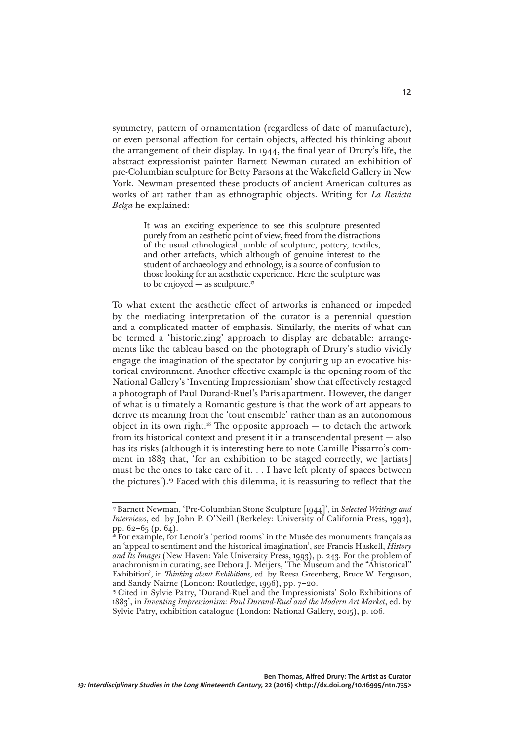symmetry, pattern of ornamentation (regardless of date of manufacture), or even personal affection for certain objects, affected his thinking about the arrangement of their display. In 1944, the final year of Drury's life, the abstract expressionist painter Barnett Newman curated an exhibition of pre-Columbian sculpture for Betty Parsons at the Wakefield Gallery in New York. Newman presented these products of ancient American cultures as works of art rather than as ethnographic objects. Writing for *La Revista Belga* he explained:

> It was an exciting experience to see this sculpture presented purely from an aesthetic point of view, freed from the distractions of the usual ethnological jumble of sculpture, pottery, textiles, and other artefacts, which although of genuine interest to the student of archaeology and ethnology, is a source of confusion to those looking for an aesthetic experience. Here the sculpture was to be enjoyed — as sculpture. $17$

To what extent the aesthetic effect of artworks is enhanced or impeded by the mediating interpretation of the curator is a perennial question and a complicated matter of emphasis. Similarly, the merits of what can be termed a 'historicizing' approach to display are debatable: arrangements like the tableau based on the photograph of Drury's studio vividly engage the imagination of the spectator by conjuring up an evocative historical environment. Another effective example is the opening room of the National Gallery's 'Inventing Impressionism' show that effectively restaged a photograph of Paul Durand-Ruel's Paris apartment. However, the danger of what is ultimately a Romantic gesture is that the work of art appears to derive its meaning from the 'tout ensemble' rather than as an autonomous object in its own right.<sup>18</sup> The opposite approach  $-$  to detach the artwork from its historical context and present it in a transcendental present — also has its risks (although it is interesting here to note Camille Pissarro's comment in 1883 that, 'for an exhibition to be staged correctly, we [artists] must be the ones to take care of it. . . I have left plenty of spaces between the pictures').19 Faced with this dilemma, it is reassuring to reflect that the

<sup>17</sup> Barnett Newman, 'Pre-Columbian Stone Sculpture [1944]', in *Selected Writings and Interviews*, ed. by John P. O'Neill (Berkeley: University of California Press, 1992), pp. 62–65 (p. 64).

<sup>&</sup>lt;sup>18</sup> For example, for Lenoir's 'period rooms' in the Musée des monuments français as an 'appeal to sentiment and the historical imagination', see Francis Haskell, *History and Its Images* (New Haven: Yale University Press, 1993), p. 243. For the problem of anachronism in curating, see Debora J. Meijers, 'The Museum and the "Ahistorical" Exhibition', in *Thinking about Exhibitions*, ed. by Reesa Greenberg, Bruce W. Ferguson, and Sandy Nairne (London: Routledge, 1996), pp. 7–20.

<sup>&</sup>lt;sup>19</sup> Cited in Sylvie Patry, 'Durand-Ruel and the Impressionists' Solo Exhibitions of 1883', in *Inventing Impressionism: Paul Durand-Ruel and the Modern Art Market*, ed. by Sylvie Patry, exhibition catalogue (London: National Gallery, 2015), p. 106.